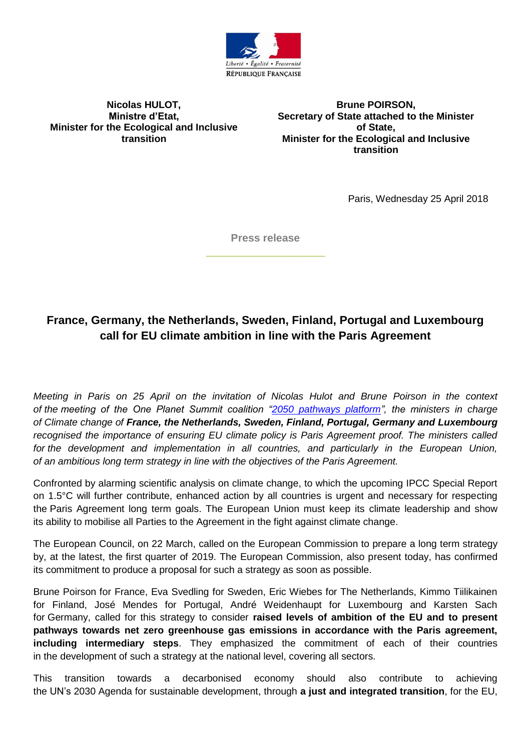

## **Nicolas HULOT, Ministre d'Etat, Minister for the Ecological and Inclusive transition**

**Brune POIRSON, Secretary of State attached to the Minister of State, Minister for the Ecological and Inclusive transition**

Paris, Wednesday 25 April 2018

**Press release \_\_\_\_\_\_\_\_\_\_\_\_\_\_\_\_\_\_\_\_**

## **France, Germany, the Netherlands, Sweden, Finland, Portugal and Luxembourg call for EU climate ambition in line with the Paris Agreement**

*Meeting in Paris on 25 April on the invitation of Nicolas Hulot and Brune Poirson in the context of the meeting of the One Planet Summit coalition ["2050 pathways platform"](https://www.2050pathways.org/), the ministers in charge of Climate change of France, the Netherlands, Sweden, Finland, Portugal, Germany and Luxembourg recognised the importance of ensuring EU climate policy is Paris Agreement proof. The ministers called for the development and implementation in all countries, and particularly in the European Union, of an ambitious long term strategy in line with the objectives of the Paris Agreement.* 

Confronted by alarming scientific analysis on climate change, to which the upcoming IPCC Special Report on 1.5°C will further contribute, enhanced action by all countries is urgent and necessary for respecting the Paris Agreement long term goals. The European Union must keep its climate leadership and show its ability to mobilise all Parties to the Agreement in the fight against climate change.

The European Council, on 22 March, called on the European Commission to prepare a long term strategy by, at the latest, the first quarter of 2019. The European Commission, also present today, has confirmed its commitment to produce a proposal for such a strategy as soon as possible.

Brune Poirson for France, Eva Svedling for Sweden, Eric Wiebes for The Netherlands, Kimmo Tiilikainen for Finland, José Mendes for Portugal, André Weidenhaupt for Luxembourg and Karsten Sach for Germany, called for this strategy to consider **raised levels of ambition of the EU and to present pathways towards net zero greenhouse gas emissions in accordance with the Paris agreement, including intermediary steps**. They emphasized the commitment of each of their countries in the development of such a strategy at the national level, covering all sectors.

This transition towards a decarbonised economy should also contribute to achieving the UN's 2030 Agenda for sustainable development, through **a just and integrated transition**, for the EU,